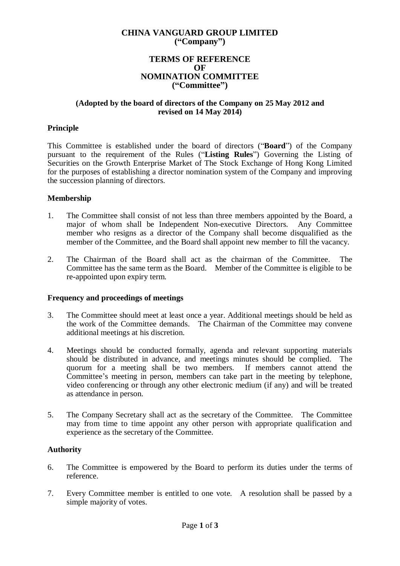# **CHINA VANGUARD GROUP LIMITED ("Company")**

## **TERMS OF REFERENCE OF NOMINATION COMMITTEE ("Committee")**

## **(Adopted by the board of directors of the Company on 25 May 2012 and revised on 14 May 2014)**

## **Principle**

This Committee is established under the board of directors ("**Board**") of the Company pursuant to the requirement of the Rules ("**Listing Rules**") Governing the Listing of Securities on the Growth Enterprise Market of The Stock Exchange of Hong Kong Limited for the purposes of establishing a director nomination system of the Company and improving the succession planning of directors.

### **Membership**

- 1. The Committee shall consist of not less than three members appointed by the Board, a major of whom shall be Independent Non-executive Directors. Any Committee member who resigns as a director of the Company shall become disqualified as the member of the Committee, and the Board shall appoint new member to fill the vacancy.
- 2. The Chairman of the Board shall act as the chairman of the Committee. The Committee has the same term as the Board. Member of the Committee is eligible to be re-appointed upon expiry term.

### **Frequency and proceedings of meetings**

- 3. The Committee should meet at least once a year. Additional meetings should be held as the work of the Committee demands. The Chairman of the Committee may convene additional meetings at his discretion.
- 4. Meetings should be conducted formally, agenda and relevant supporting materials should be distributed in advance, and meetings minutes should be complied. The quorum for a meeting shall be two members. If members cannot attend the Committee's meeting in person, members can take part in the meeting by telephone, video conferencing or through any other electronic medium (if any) and will be treated as attendance in person.
- 5. The Company Secretary shall act as the secretary of the Committee. The Committee may from time to time appoint any other person with appropriate qualification and experience as the secretary of the Committee.

### **Authority**

- 6. The Committee is empowered by the Board to perform its duties under the terms of reference.
- 7. Every Committee member is entitled to one vote. A resolution shall be passed by a simple majority of votes.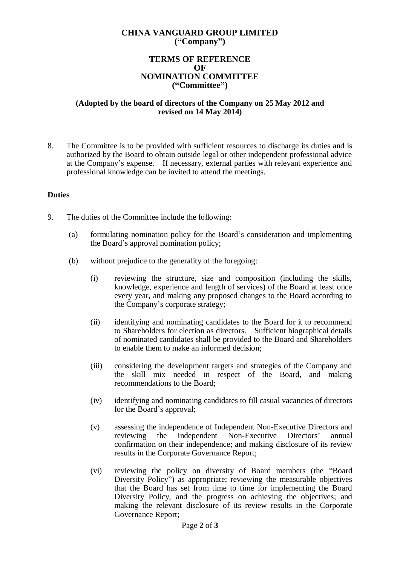# **CHINA VANGUARD GROUP LIMITED ("Company")**

## **TERMS OF REFERENCE OF NOMINATION COMMITTEE ("Committee")**

## **(Adopted by the board of directors of the Company on 25 May 2012 and revised on 14 May 2014)**

8. The Committee is to be provided with sufficient resources to discharge its duties and is authorized by the Board to obtain outside legal or other independent professional advice at the Company's expense. If necessary, external parties with relevant experience and professional knowledge can be invited to attend the meetings.

### **Duties**

- 9. The duties of the Committee include the following:
	- (a) formulating nomination policy for the Board's consideration and implementing the Board's approval nomination policy;
	- (b) without prejudice to the generality of the foregoing:
		- (i) reviewing the structure, size and composition (including the skills, knowledge, experience and length of services) of the Board at least once every year, and making any proposed changes to the Board according to the Company's corporate strategy;
		- (ii) identifying and nominating candidates to the Board for it to recommend to Shareholders for election as directors. Sufficient biographical details of nominated candidates shall be provided to the Board and Shareholders to enable them to make an informed decision;
		- (iii) considering the development targets and strategies of the Company and the skill mix needed in respect of the Board, and making recommendations to the Board;
		- (iv) identifying and nominating candidates to fill casual vacancies of directors for the Board's approval;
		- (v) assessing the independence of Independent Non-Executive Directors and reviewing the Independent Non-Executive Directors' annual confirmation on their independence; and making disclosure of its review results in the Corporate Governance Report;
		- (vi) reviewing the policy on diversity of Board members (the "Board Diversity Policy") as appropriate; reviewing the measurable objectives that the Board has set from time to time for implementing the Board Diversity Policy, and the progress on achieving the objectives; and making the relevant disclosure of its review results in the Corporate Governance Report;